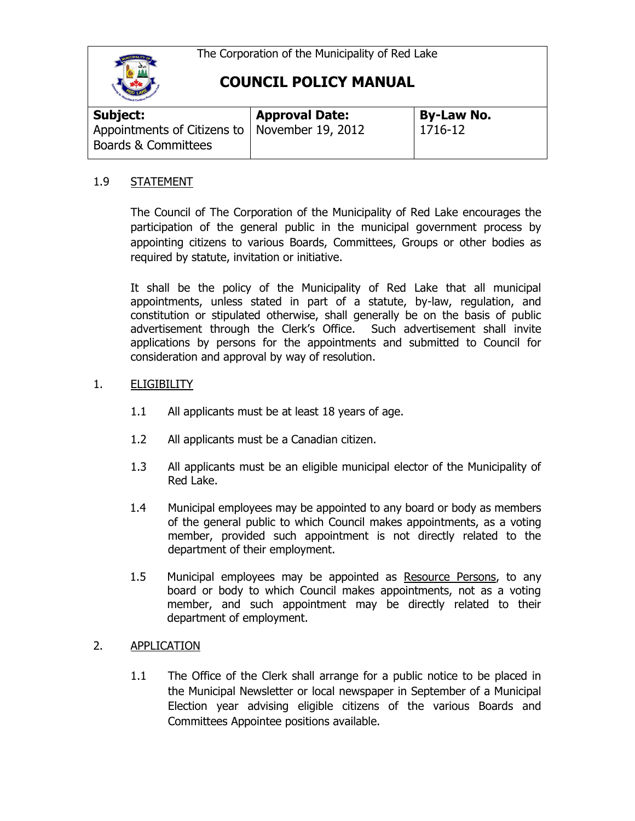The Corporation of the Municipality of Red Lake



## **COUNCIL POLICY MANUAL**

| Subject:                                        | <b>Approval Date:</b> | <b>By-Law No.</b> |
|-------------------------------------------------|-----------------------|-------------------|
| Appointments of Citizens to   November 19, 2012 |                       | 1716-12           |
| <b>Boards &amp; Committees</b>                  |                       |                   |

#### 1.9 STATEMENT

The Council of The Corporation of the Municipality of Red Lake encourages the participation of the general public in the municipal government process by appointing citizens to various Boards, Committees, Groups or other bodies as required by statute, invitation or initiative.

It shall be the policy of the Municipality of Red Lake that all municipal appointments, unless stated in part of a statute, by-law, regulation, and constitution or stipulated otherwise, shall generally be on the basis of public advertisement through the Clerk's Office. Such advertisement shall invite applications by persons for the appointments and submitted to Council for consideration and approval by way of resolution.

#### 1. ELIGIBILITY

- 1.1 All applicants must be at least 18 years of age.
- 1.2 All applicants must be a Canadian citizen.
- 1.3 All applicants must be an eligible municipal elector of the Municipality of Red Lake.
- 1.4 Municipal employees may be appointed to any board or body as members of the general public to which Council makes appointments, as a voting member, provided such appointment is not directly related to the department of their employment.
- 1.5 Municipal employees may be appointed as Resource Persons, to any board or body to which Council makes appointments, not as a voting member, and such appointment may be directly related to their department of employment.

#### 2. APPLICATION

1.1 The Office of the Clerk shall arrange for a public notice to be placed in the Municipal Newsletter or local newspaper in September of a Municipal Election year advising eligible citizens of the various Boards and Committees Appointee positions available.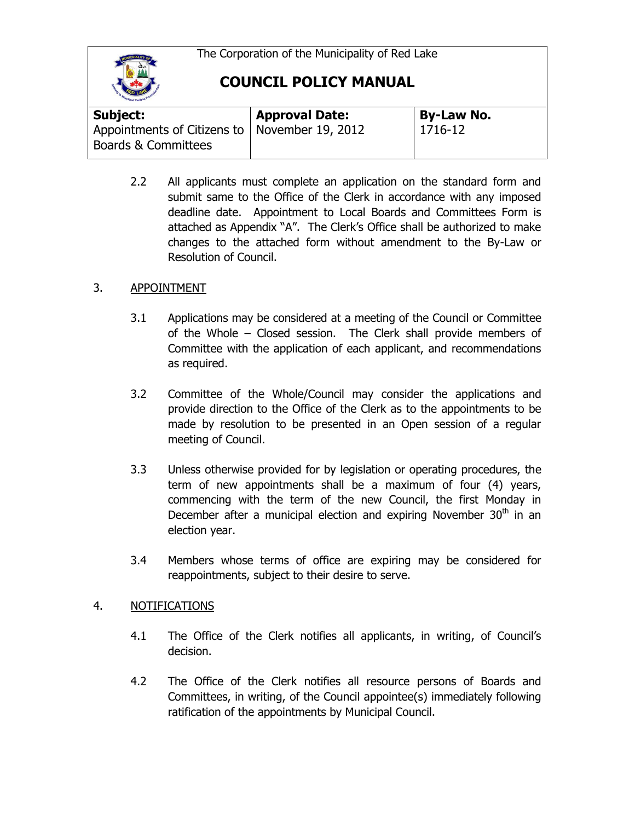The Corporation of the Municipality of Red Lake



**COUNCIL POLICY MANUAL**

| <b>Subject:</b>                                 | <b>Approval Date:</b> | <b>By-Law No.</b> |
|-------------------------------------------------|-----------------------|-------------------|
| Appointments of Citizens to   November 19, 2012 |                       | 1716-12           |
| Boards & Committees                             |                       |                   |

2.2 All applicants must complete an application on the standard form and submit same to the Office of the Clerk in accordance with any imposed deadline date. Appointment to Local Boards and Committees Form is attached as Appendix "A". The Clerk's Office shall be authorized to make changes to the attached form without amendment to the By-Law or Resolution of Council.

## 3. APPOINTMENT

- 3.1 Applications may be considered at a meeting of the Council or Committee of the Whole – Closed session. The Clerk shall provide members of Committee with the application of each applicant, and recommendations as required.
- 3.2 Committee of the Whole/Council may consider the applications and provide direction to the Office of the Clerk as to the appointments to be made by resolution to be presented in an Open session of a regular meeting of Council.
- 3.3 Unless otherwise provided for by legislation or operating procedures, the term of new appointments shall be a maximum of four (4) years, commencing with the term of the new Council, the first Monday in December after a municipal election and expiring November  $30<sup>th</sup>$  in an election year.
- 3.4 Members whose terms of office are expiring may be considered for reappointments, subject to their desire to serve.

## 4. NOTIFICATIONS

- 4.1 The Office of the Clerk notifies all applicants, in writing, of Council's decision.
- 4.2 The Office of the Clerk notifies all resource persons of Boards and Committees, in writing, of the Council appointee(s) immediately following ratification of the appointments by Municipal Council.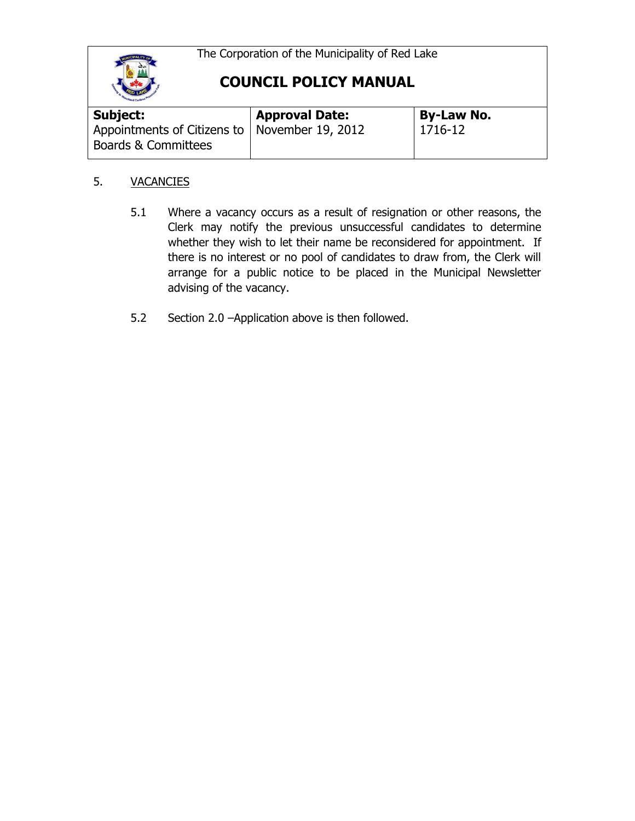The Corporation of the Municipality of Red Lake



# **COUNCIL POLICY MANUAL**

| <b>By-Law No.</b> |  |
|-------------------|--|
| $1716 - 12$       |  |
|                   |  |

## 5. VACANCIES

- 5.1 Where a vacancy occurs as a result of resignation or other reasons, the Clerk may notify the previous unsuccessful candidates to determine whether they wish to let their name be reconsidered for appointment. If there is no interest or no pool of candidates to draw from, the Clerk will arrange for a public notice to be placed in the Municipal Newsletter advising of the vacancy.
- 5.2 Section 2.0 –Application above is then followed.